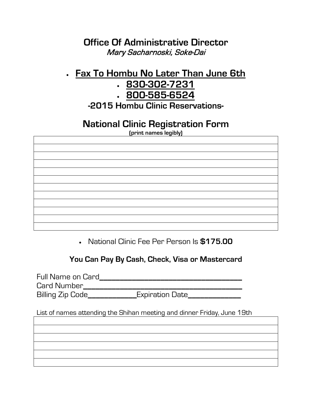### **Office Of Administrative Director** Mary Sacharnoski, Soke-Dai

# • **Fax To Hombu No Later Than June 6th**

- **830-302-7231**
- **800-585-6524**

**-2015 Hombu Clinic Reservations-**

# **National Clinic Registration Form**

**(print names legibly)**

• National Clinic Fee Per Person Is **\$175.00**

**You Can Pay By Cash, Check, Visa or Mastercard**

Full Name on Card**\_\_\_\_\_\_\_\_\_\_\_\_\_\_\_\_\_\_\_\_\_\_\_\_\_\_\_\_\_\_\_\_\_\_\_** Card Number**\_\_\_\_\_\_\_\_\_\_\_\_\_\_\_\_\_\_\_\_\_\_\_\_\_\_\_\_\_\_\_\_\_\_\_\_\_\_\_** Billing Zip Code**\_\_\_\_\_\_\_\_\_\_\_\_**Expiration Date**\_\_\_\_\_\_\_\_\_\_\_\_\_**

List of names attending the Shihan meeting and dinner Friday, June 19th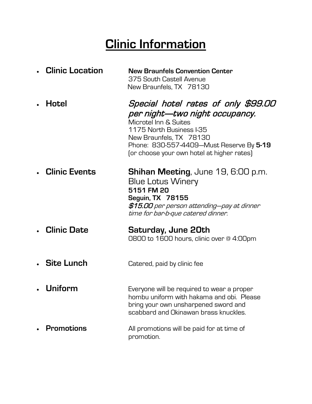# **Clinic Information**

| <b>Clinic Location</b> | <b>New Braunfels Convention Center</b><br>375 South Castell Avenue<br>New Braunfels, TX 78130                                                                                                                                                   |
|------------------------|-------------------------------------------------------------------------------------------------------------------------------------------------------------------------------------------------------------------------------------------------|
| Hotel                  | Special hotel rates of only \$99.00<br>per night—two night occupancy.<br>Microtel Inn & Suites<br>1175 North Business I-35<br>New Braunfels, TX 78130<br>Phone: 830-557-4409-Must Reserve By 5-19<br>(or choose your own hotel at higher rates) |
| <b>Clinic Events</b>   | <b>Shihan Meeting, June 19, 6:00 p.m.</b><br><b>Blue Lotus Winery</b><br>5151 FM 20<br><b>Seguin, TX 78155</b><br>\$15.00 per person attending—pay at dinner<br>time for bar-b-que catered dinner.                                              |
| <b>Clinic Date</b>     | Saturday, June 20th<br>0800 to 1600 hours, clinic over @ 4:00pm                                                                                                                                                                                 |
| . Site Lunch           | Catered, paid by clinic fee                                                                                                                                                                                                                     |
| Uniform                | Everyone will be required to wear a proper<br>hombu uniform with hakama and obi. Please<br>bring your own unsharpened sword and<br>scabbard and Okinawan brass knuckles.                                                                        |
| <b>Promotions</b>      | All promotions will be paid for at time of<br>promotion.                                                                                                                                                                                        |